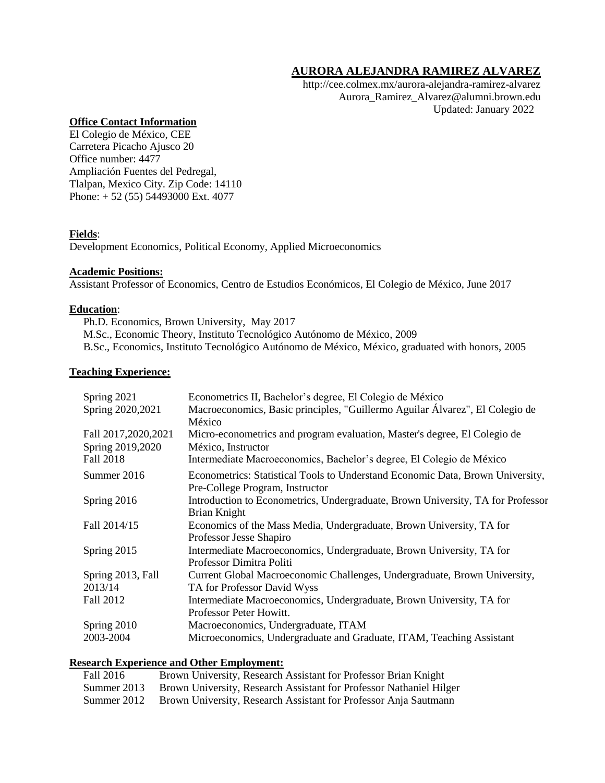# **AURORA ALEJANDRA RAMIREZ ALVAREZ**

http://cee.colmex.mx/aurora-alejandra-ramirez-alvarez Aurora\_Ramirez\_Alvarez@alumni.brown.edu Updated: January 2022

### **Office Contact Information**

El Colegio de México, CEE Carretera Picacho Ajusco 20 Office number: 4477 Ampliación Fuentes del Pedregal, Tlalpan, Mexico City. Zip Code: 14110 Phone: + 52 (55) 54493000 Ext. 4077

# **Fields**:

Development Economics, Political Economy, Applied Microeconomics

### **Academic Positions:**

Assistant Professor of Economics, Centro de Estudios Económicos, El Colegio de México, June 2017

### **Education**:

Ph.D. Economics, Brown University, May 2017 M.Sc., Economic Theory, Instituto Tecnológico Autónomo de México, 2009 B.Sc., Economics, Instituto Tecnológico Autónomo de México, México, graduated with honors, 2005

### **Teaching Experience:**

| Spring 2021<br>Spring 2020, 2021          | Econometrics II, Bachelor's degree, El Colegio de México<br>Macroeconomics, Basic principles, "Guillermo Aguilar Álvarez", El Colegio de<br>México |
|-------------------------------------------|----------------------------------------------------------------------------------------------------------------------------------------------------|
| Fall 2017, 2020, 2021<br>Spring 2019,2020 | Micro-econometrics and program evaluation, Master's degree, El Colegio de<br>México, Instructor                                                    |
| Fall 2018                                 | Intermediate Macroeconomics, Bachelor's degree, El Colegio de México                                                                               |
| Summer 2016                               | Econometrics: Statistical Tools to Understand Economic Data, Brown University,<br>Pre-College Program, Instructor                                  |
| Spring 2016                               | Introduction to Econometrics, Undergraduate, Brown University, TA for Professor<br>Brian Knight                                                    |
| Fall 2014/15                              | Economics of the Mass Media, Undergraduate, Brown University, TA for<br>Professor Jesse Shapiro                                                    |
| Spring 2015                               | Intermediate Macroeconomics, Undergraduate, Brown University, TA for<br>Professor Dimitra Politi                                                   |
| Spring 2013, Fall                         | Current Global Macroeconomic Challenges, Undergraduate, Brown University,                                                                          |
| 2013/14                                   | TA for Professor David Wyss                                                                                                                        |
| Fall 2012                                 | Intermediate Macroeconomics, Undergraduate, Brown University, TA for<br>Professor Peter Howitt.                                                    |
| Spring 2010                               | Macroeconomics, Undergraduate, ITAM                                                                                                                |
| 2003-2004                                 | Microeconomics, Undergraduate and Graduate, ITAM, Teaching Assistant                                                                               |

### **Research Experience and Other Employment:**

| Fall 2016   | Brown University, Research Assistant for Professor Brian Knight     |
|-------------|---------------------------------------------------------------------|
| Summer 2013 | Brown University, Research Assistant for Professor Nathaniel Hilger |
| Summer 2012 | Brown University, Research Assistant for Professor Anja Sautmann    |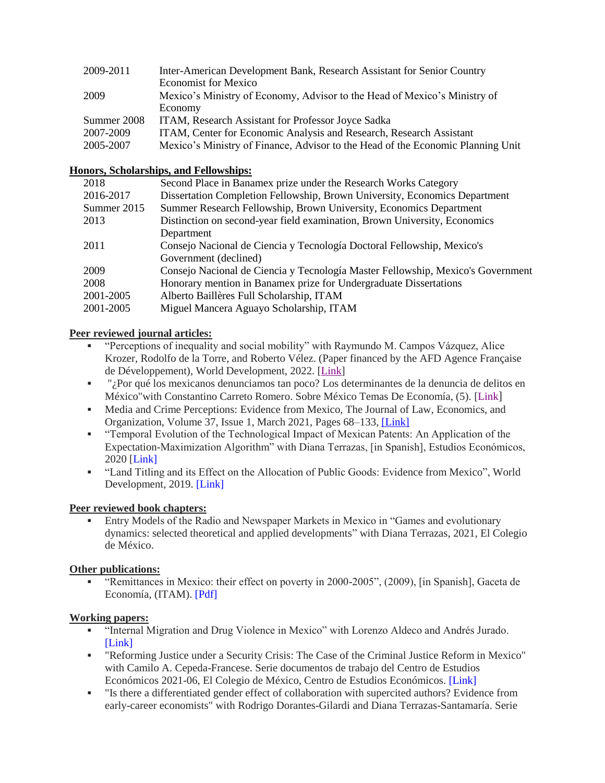| 2009-2011   | Inter-American Development Bank, Research Assistant for Senior Country          |
|-------------|---------------------------------------------------------------------------------|
|             | <b>Economist for Mexico</b>                                                     |
| 2009        | Mexico's Ministry of Economy, Advisor to the Head of Mexico's Ministry of       |
|             | Economy                                                                         |
| Summer 2008 | ITAM, Research Assistant for Professor Joyce Sadka                              |
| 2007-2009   | ITAM, Center for Economic Analysis and Research, Research Assistant             |
| 2005-2007   | Mexico's Ministry of Finance, Advisor to the Head of the Economic Planning Unit |

### **Honors, Scholarships, and Fellowships:**

| 2018        | Second Place in Banamex prize under the Research Works Category                 |
|-------------|---------------------------------------------------------------------------------|
| 2016-2017   | Dissertation Completion Fellowship, Brown University, Economics Department      |
| Summer 2015 | Summer Research Fellowship, Brown University, Economics Department              |
| 2013        | Distinction on second-year field examination, Brown University, Economics       |
|             | Department                                                                      |
| 2011        | Consejo Nacional de Ciencia y Tecnología Doctoral Fellowship, Mexico's          |
|             | Government (declined)                                                           |
| 2009        | Consejo Nacional de Ciencia y Tecnología Master Fellowship, Mexico's Government |
| 2008        | Honorary mention in Banamex prize for Undergraduate Dissertations               |
| 2001-2005   | Alberto Baillères Full Scholarship, ITAM                                        |
| 2001-2005   | Miguel Mancera Aguayo Scholarship, ITAM                                         |
|             |                                                                                 |

### **Peer reviewed journal articles:**

- "Perceptions of inequality and social mobility" with Raymundo M. Campos Vázquez, Alice Krozer, Rodolfo de la Torre, and Roberto Vélez. (Paper financed by the AFD Agence Française de Développement), World Development, 2022. [\[Link\]](https://www.sciencedirect.com/science/article/pii/S0305750X21003934?via%3Dihub)
- "¿Por qué los mexicanos denunciamos tan poco? Los determinantes de la denuncia de delitos en México"with Constantino Carreto Romero. Sobre México Temas De Economía, (5). [\[Link](https://www.google.com/url?q=https%3A%2F%2Fsobremexico-revista.ibero.mx%2Findex.php%2FRevista_Sobre_Mexico%2Farticle%2Fview%2F105&sa=D&sntz=1&usg=AFQjCNF9qWJVktvU0pBUarauUzfa8QAWNw)]
- Media and Crime Perceptions: Evidence from Mexico, The Journal of Law, Economics, and Organization, Volume 37, Issue 1, March 2021, Pages 68–133, [\[Link\]](https://academic.oup.com/jleo/advance-article/doi/10.1093/jleo/ewaa010/5880745?guestAccessKey=e729fecc-ea23-4dd5-babf-399f4d03f73f)
- "Temporal Evolution of the Technological Impact of Mexican Patents: An Application of the Expectation-Maximization Algorithm" with Diana Terrazas, [in Spanish], Estudios Económicos, 2020 [\[Link\]](https://www.google.com/url?q=https%3A%2F%2Festudioseconomicos.colmex.mx%2Findex.php%2Feconomicos%2Farticle%2Fview%2F397%2F481&sa=D&sntz=1&usg=AFQjCNEhfiaBoboCRlfKn9R2OG9K9L-NNg)
- "Land Titling and its Effect on the Allocation of Public Goods: Evidence from Mexico", World Development, 2019. [\[Link\]](https://www.google.com/url?q=https%3A%2F%2Fdoi.org%2F10.1016%2Fj.worlddev.2019.104660&sa=D&sntz=1&usg=AFQjCNE4JP2RZ1nLc45RbFh_6MYr7bcrig)

### **Peer reviewed book chapters:**

Entry Models of the Radio and Newspaper Markets in Mexico in "Games and evolutionary dynamics: selected theoretical and applied developments" with Diana Terrazas, 2021, El Colegio de México.

### **Other publications:**

▪ "Remittances in Mexico: their effect on poverty in 2000-2005", (2009), [in Spanish], Gaceta de Economía, (ITAM). [\[Pdf\]](https://drive.google.com/open?id=1U3G9WeltxiWm86RQYjxckTz-QnlLCqWH)

### **Working papers:**

- "Internal Migration and Drug Violence in Mexico" with Lorenzo Aldeco and Andrés Jurado. [\[Link\]](https://www.google.com/url?q=https%3A%2F%2Fgithub.com%2Feconomic-research%2FResearch-Documents%2Fraw%2Fmaster%2FViolence%2520and%2520Internal%2520Displacement%2FPapers%2Fproject_violence_mexico.pdf&sa=D&sntz=1&usg=AFQjCNF1-aB2PSSp2ixdVed81GKUNKKFyA)
- "Reforming Justice under a Security Crisis: The Case of the Criminal Justice Reform in Mexico" with Camilo A. Cepeda-Francese. Serie documentos de trabajo del Centro de Estudios Económicos 2021-06, El Colegio de México, Centro de Estudios Económicos. [\[Link\]](https://ideas.repec.org/p/emx/ceedoc/2021-06.html)
- "Is there a differentiated gender effect of collaboration with supercited authors? Evidence from early-career economists" with Rodrigo Dorantes-Gilardi and Diana Terrazas-Santamaría. Serie